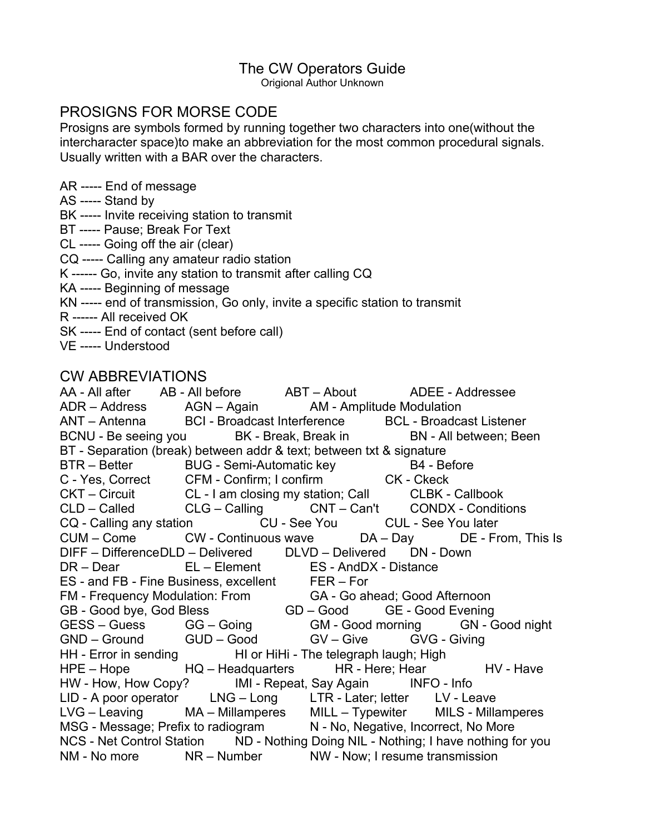# The CW Operators Guide

Origional Author Unknown

## PROSIGNS FOR MORSE CODE

Prosigns are symbols formed by running together two characters into one(without the intercharacter space)to make an abbreviation for the most common procedural signals. Usually written with a BAR over the characters.

AR ----- End of message

AS ----- Stand by

BK ----- Invite receiving station to transmit

BT ----- Pause; Break For Text

CL ----- Going off the air (clear)

CQ ----- Calling any amateur radio station

K ------ Go, invite any station to transmit after calling CQ

KA ----- Beginning of message

KN ----- end of transmission, Go only, invite a specific station to transmit

- R ------ All received OK
- SK ----- End of contact (sent before call)
- VE ----- Understood

## CW ABBREVIATIONS

AA - All after AB - All before ABT – About ADEE - Addressee ADR – Address AGN – Again AM - Amplitude Modulation ANT – Antenna BCI - Broadcast Interference BCL - Broadcast Listener BCNU - Be seeing you BK - Break, Break in BN - All between; Been BT - Separation (break) between addr & text; between txt & signature BTR – Better BUG - Semi-Automatic key B4 - Before C - Yes, Correct CFM - Confirm; I confirm CK - Ckeck CKT – Circuit CL - I am closing my station; Call CLBK - Callbook CLD – Called CLG – Calling CNT – Can't CONDX - Conditions CQ - Calling any station CU - See You CUL - See You later CUM – Come CW - Continuous wave DA – Day DE - From, This Is DIFF – DifferenceDLD – Delivered DLVD – Delivered DN - Down DR – Dear EL – Element ES - AndDX - Distance ES - and FB - Fine Business, excellent FER – For FM - Frequency Modulation: From GA - Go ahead; Good Afternoon GB - Good bye, God Bless GD – Good GE - Good Evening GESS – Guess GG – Going GM - Good morning GN - Good night GND – Ground GUD – Good GV – Give GVG - Giving HH - Error in sending HI or HiHi - The telegraph laugh; High HPE – Hope HQ – Headquarters HR - Here; Hear HV - Have HW - How, How Copy? IMI - Repeat, Say Again INFO - Info LID - A poor operator LNG – Long LTR - Later; letter LV - Leave LVG – Leaving MA – Millamperes MILL – Typewiter MILS - Millamperes MSG - Message; Prefix to radiogram N - No, Negative, Incorrect, No More NCS - Net Control Station ND - Nothing Doing NIL - Nothing; I have nothing for you NM - No more NR – Number NW - Now; I resume transmission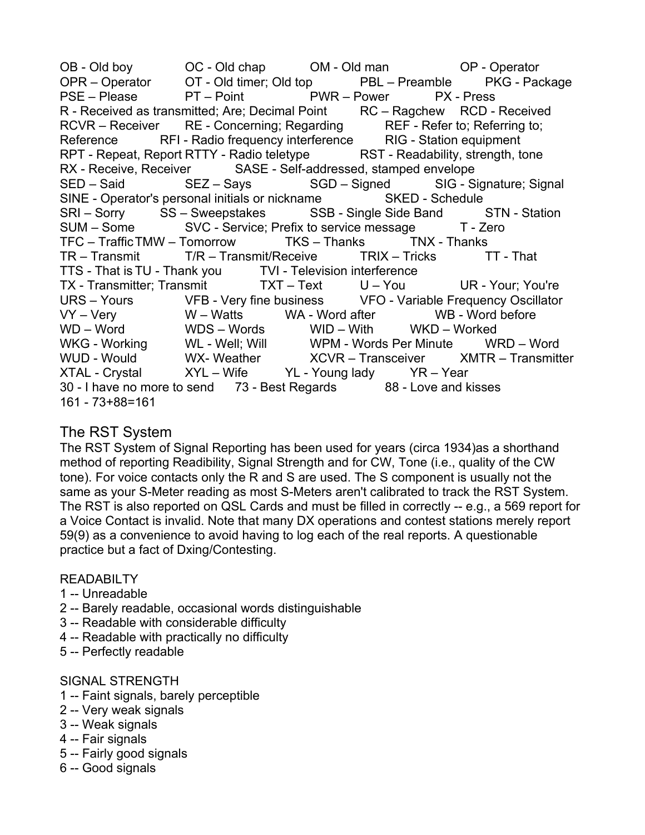OB - Old boy OC - Old chap OM - Old man OP - Operator OPR – Operator OT - Old timer; Old top PBL – Preamble PKG - Package PSE – Please PT – Point PWR – Power PX - Press R - Received as transmitted; Are; Decimal Point RC – Ragchew RCD - Received RCVR – Receiver RE - Concerning; Regarding REF - Refer to; Referring to; Reference RFI - Radio frequency interference RIG - Station equipment RPT - Repeat, Report RTTY - Radio teletype RST - Readability, strength, tone RX - Receive, Receiver SASE - Self-addressed, stamped envelope SED – Said SEZ – Says SGD – Signed SIG - Signature; Signal SINE - Operator's personal initials or nickname SKED - Schedule SRI – Sorry SS – Sweepstakes SSB - Single Side Band STN - Station SUM – Some SVC - Service; Prefix to service message T - Zero TFC – TrafficTMW – Tomorrow TKS – Thanks TNX - Thanks TR – Transmit T/R – Transmit/Receive TRIX – Tricks TT - That TTS - That is TU - Thank you TVI - Television interference TX - Transmitter; Transmit TXT – Text U – You UR - Your; You're URS – Yours VFB - Very fine business VFO - Variable Frequency Oscillator VY – Very W – Watts WA - Word after WB - Word before WD – Word WDS – Words WID – With WKD – Worked WKG - Working WL - Well; Will WPM - Words Per Minute WRD – Word WUD - Would WX- Weather MCVR – Transceiver Natural Transmitter XTAL - Crystal XYL – Wife YL - Young lady YR – Year 30 - I have no more to send 73 - Best Regards 88 - Love and kisses 161 - 73+88=161

## The RST System

The RST System of Signal Reporting has been used for years (circa 1934)as a shorthand method of reporting Readibility, Signal Strength and for CW, Tone (i.e., quality of the CW tone). For voice contacts only the R and S are used. The S component is usually not the same as your S-Meter reading as most S-Meters aren't calibrated to track the RST System. The RST is also reported on QSL Cards and must be filled in correctly -- e.g., a 569 report for a Voice Contact is invalid. Note that many DX operations and contest stations merely report 59(9) as a convenience to avoid having to log each of the real reports. A questionable practice but a fact of Dxing/Contesting.

#### READABILTY

- 1 -- Unreadable
- 2 -- Barely readable, occasional words distinguishable
- 3 -- Readable with considerable difficulty
- 4 -- Readable with practically no difficulty
- 5 -- Perfectly readable

#### SIGNAL STRENGTH

- 1 -- Faint signals, barely perceptible
- 2 -- Very weak signals
- 3 -- Weak signals
- 4 -- Fair signals
- 5 -- Fairly good signals
- 6 -- Good signals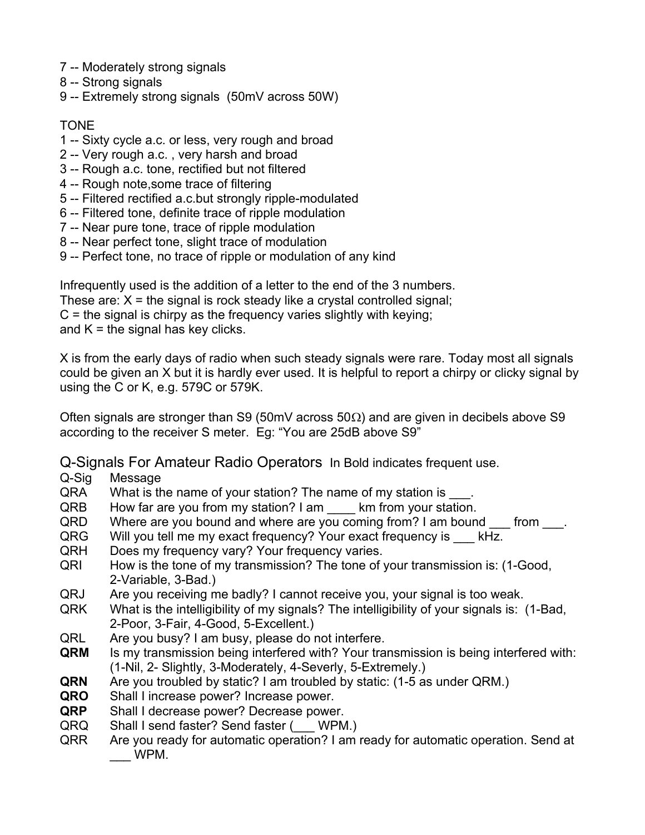- 7 -- Moderately strong signals
- 8 -- Strong signals
- 9 -- Extremely strong signals (50mV across 50W)

### TONE

- 1 -- Sixty cycle a.c. or less, very rough and broad
- 2 -- Very rough a.c. , very harsh and broad
- 3 -- Rough a.c. tone, rectified but not filtered
- 4 -- Rough note,some trace of filtering
- 5 -- Filtered rectified a.c.but strongly ripple-modulated
- 6 -- Filtered tone, definite trace of ripple modulation
- 7 -- Near pure tone, trace of ripple modulation
- 8 -- Near perfect tone, slight trace of modulation
- 9 -- Perfect tone, no trace of ripple or modulation of any kind

Infrequently used is the addition of a letter to the end of the 3 numbers. These are:  $X$  = the signal is rock steady like a crystal controlled signal;  $C =$  the signal is chirpy as the frequency varies slightly with keying; and  $K =$  the signal has key clicks.

X is from the early days of radio when such steady signals were rare. Today most all signals could be given an X but it is hardly ever used. It is helpful to report a chirpy or clicky signal by using the C or K, e.g. 579C or 579K.

Often signals are stronger than S9 (50mV across 50 $\Omega$ ) and are given in decibels above S9 according to the receiver S meter. Eg: "You are 25dB above S9"

Q-Signals For Amateur Radio Operators In Bold indicates frequent use.

- Q-Sig Message
- QRA What is the name of your station? The name of my station is .
- QRB How far are you from my station? I am \_\_\_\_ km from your station.
- QRD Where are you bound and where are you coming from? I am bound from .
- QRG Will you tell me my exact frequency? Your exact frequency is kHz.
- QRH Does my frequency vary? Your frequency varies.
- QRI How is the tone of my transmission? The tone of your transmission is: (1-Good, 2-Variable, 3-Bad.)
- QRJ Are you receiving me badly? I cannot receive you, your signal is too weak.
- QRK What is the intelligibility of my signals? The intelligibility of your signals is: (1-Bad, 2-Poor, 3-Fair, 4-Good, 5-Excellent.)
- QRL Are you busy? I am busy, please do not interfere.
- **QRM** Is my transmission being interfered with? Your transmission is being interfered with: (1-Nil, 2- Slightly, 3-Moderately, 4-Severly, 5-Extremely.)
- **QRN** Are you troubled by static? I am troubled by static: (1-5 as under QRM.)
- **QRO** Shall I increase power? Increase power.
- **QRP** Shall I decrease power? Decrease power.
- QRQ Shall I send faster? Send faster (\_\_\_ WPM.)
- QRR Are you ready for automatic operation? I am ready for automatic operation. Send at \_\_\_ WPM.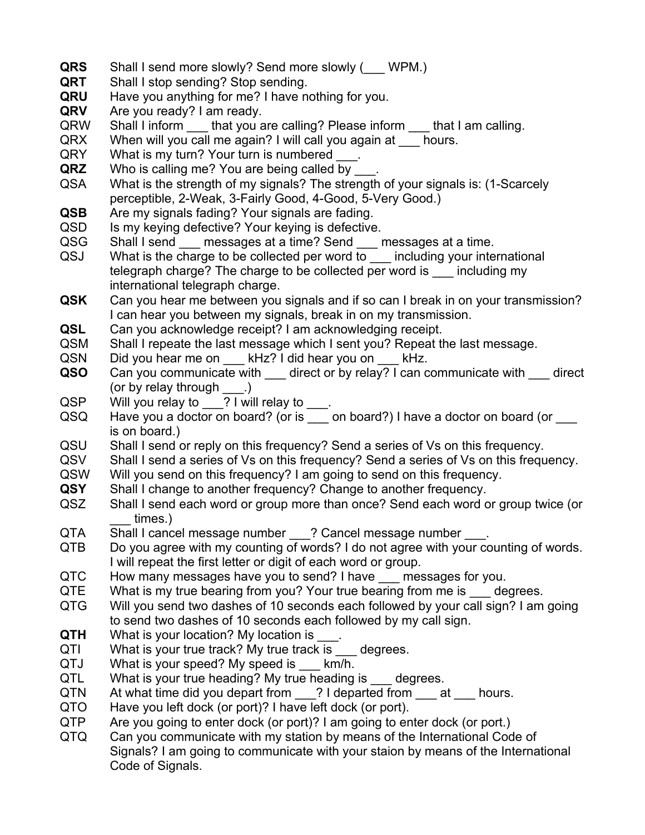- **QRS** Shall I send more slowly? Send more slowly ( WPM.)
- **QRT** Shall I stop sending? Stop sending.
- **QRU** Have you anything for me? I have nothing for you.
- **QRV** Are you ready? I am ready.
- QRW Shall I inform that you are calling? Please inform that I am calling.
- QRX When will you call me again? I will call you again at hours.
- QRY What is my turn? Your turn is numbered \_\_\_.
- **QRZ** Who is calling me? You are being called by
- QSA What is the strength of my signals? The strength of your signals is: (1-Scarcely perceptible, 2-Weak, 3-Fairly Good, 4-Good, 5-Very Good.)
- **QSB** Are my signals fading? Your signals are fading.
- QSD Is my keying defective? Your keying is defective.
- QSG Shall I send messages at a time? Send messages at a time.
- QSJ What is the charge to be collected per word to \_\_\_ including your international telegraph charge? The charge to be collected per word is \_\_\_ including my international telegraph charge.
- **QSK** Can you hear me between you signals and if so can I break in on your transmission? I can hear you between my signals, break in on my transmission.
- **QSL** Can you acknowledge receipt? I am acknowledging receipt.
- QSM Shall I repeate the last message which I sent you? Repeat the last message.
- QSN Did you hear me on kHz? I did hear you on kHz.
- **QSO** Can you communicate with \_\_\_ direct or by relay? I can communicate with direct (or by relay through \_\_\_.)
- QSP Will you relay to 2 I will relay to
- QSQ Have you a doctor on board? (or is  $\frac{1}{\sqrt{2}}$  on board?) I have a doctor on board (or is on board.)
- QSU Shall I send or reply on this frequency? Send a series of Vs on this frequency.
- QSV Shall I send a series of Vs on this frequency? Send a series of Vs on this frequency.
- QSW Will you send on this frequency? I am going to send on this frequency.
- **QSY** Shall I change to another frequency? Change to another frequency.
- QSZ Shall I send each word or group more than once? Send each word or group twice (or times.)
- QTA Shall I cancel message number ? Cancel message number .
- QTB Do you agree with my counting of words? I do not agree with your counting of words. I will repeat the first letter or digit of each word or group.
- QTC How many messages have you to send? I have \_\_\_ messages for you.
- QTE What is my true bearing from you? Your true bearing from me is degrees.
- QTG Will you send two dashes of 10 seconds each followed by your call sign? I am going to send two dashes of 10 seconds each followed by my call sign.
- **QTH** What is your location? My location is
- QTI What is your true track? My true track is degrees.
- QTJ What is your speed? My speed is km/h.
- QTL What is your true heading? My true heading is degrees.
- QTN At what time did you depart from ? I departed from at hours.
- QTO Have you left dock (or port)? I have left dock (or port).
- QTP Are you going to enter dock (or port)? I am going to enter dock (or port.)
- QTQ Can you communicate with my station by means of the International Code of Signals? I am going to communicate with your staion by means of the International Code of Signals.